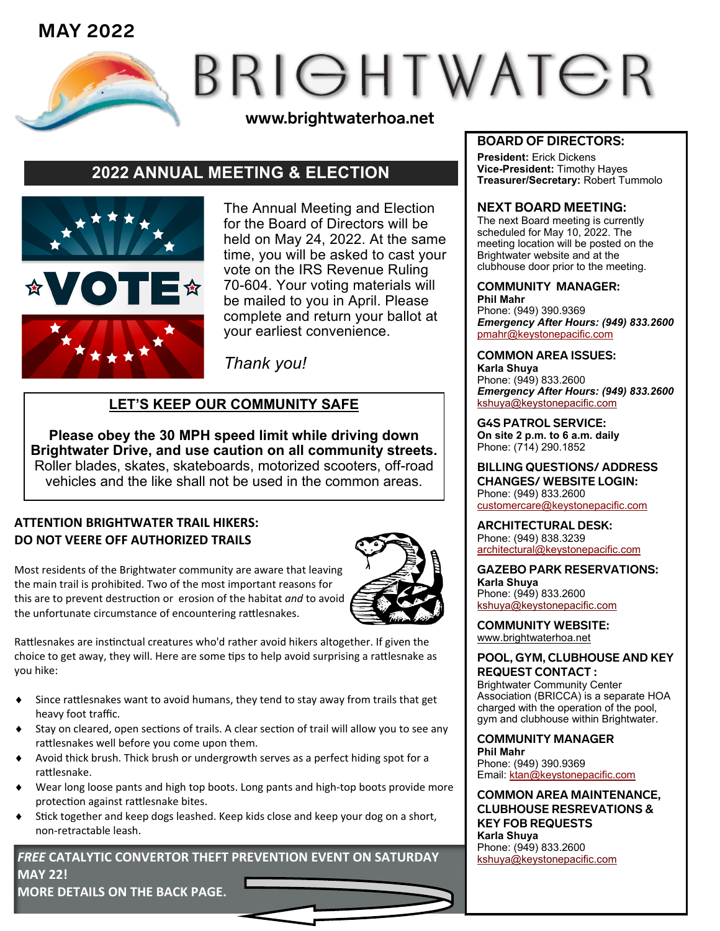

# BRIGHTWATER

**www.brightwaterhoa.net**

# **2022 ANNUAL MEETING & ELECTION**



The Annual Meeting and Election for the Board of Directors will be held on May 24, 2022. At the same time, you will be asked to cast your vote on the IRS Revenue Ruling 70-604. Your voting materials will be mailed to you in April. Please complete and return your ballot at your earliest convenience.

*Thank you!* 

### **LET'S KEEP OUR COMMUNITY SAFE**

**Please obey the 30 MPH speed limit while driving down Brightwater Drive, and use caution on all community streets.** Roller blades, skates, skateboards, motorized scooters, off-road vehicles and the like shall not be used in the common areas.

#### **ATTENTION BRIGHTWATER TRAIL HIKERS: DO NOT VEERE OFF AUTHORIZED TRAILS**

Most residents of the Brightwater community are aware that leaving the main trail is prohibited. Two of the most important reasons for this are to prevent destruction or erosion of the habitat *and* to avoid the unfortunate circumstance of encountering rattlesnakes.



Rattlesnakes are instinctual creatures who'd rather avoid hikers altogether. If given the choice to get away, they will. Here are some tips to help avoid surprising a rattlesnake as you hike:

- Since rattlesnakes want to avoid humans, they tend to stay away from trails that get heavy foot traffic.
- Stay on cleared, open sections of trails. A clear section of trail will allow you to see any rattlesnakes well before you come upon them.
- Avoid thick brush. Thick brush or undergrowth serves as a perfect hiding spot for a rattlesnake.
- Wear long loose pants and high top boots. Long pants and high-top boots provide more protection against rattlesnake bites.
- Stick together and keep dogs leashed. Keep kids close and keep your dog on a short, non-retractable leash.

*FREE* **CATALYTIC CONVERTOR THEFT PREVENTION EVENT ON SATURDAY MAY 22! MORE DETAILS ON THE BACK PAGE.**

#### **BOARD OF DIRECTORS:**

**President:** Erick Dickens **Vice-President:** Timothy Hayes **Treasurer/Secretary:** Robert Tummolo

#### **NEXT BOARD MEETING:**

The next Board meeting is currently scheduled for May 10, 2022. The meeting location will be posted on the Brightwater website and at the clubhouse door prior to the meeting.

#### **COMMUNITY MANAGER:**

**Phil Mahr** Phone: (949) 390.9369 *Emergency After Hours: (949) 833.2600* pmah[r@keystonepacific.com](mailto:asoto@keystonepacific.com) 

#### **COMMON AREA ISSUES: Karla Shuya** Phone: (949) 833.2600 *Emergency After Hours: (949) 833.2600* kshuy[a@keystonepacific.com](mailto:lcruz@keystonepacific.com)

**G4S PATROL SERVICE: On site 2 p.m. to 6 a.m. daily** Phone: (714) 290.1852

**BILLING QUESTIONS/ ADDRESS CHANGES/ WEBSITE LOGIN:** Phone: (949) 833.2600 [customercare@keystonepacific.com](mailto:customercare@keystonepacific.com)

**ARCHITECTURAL DESK:** Phone: (949) 838.3239 [architectural@keystonepacific.com](mailto:architectural@keystonepacific.com)

**GAZEBO PARK RESERVATIONS: Karla Shuya** Phone: (949) 833.2600 kshuy[a@keystonepacific.com](mailto:lcruz@keystonepacific.com)

**COMMUNITY WEBSITE:** [www.brightwaterhoa.net](http://www.brightwaterhoa.net) 

#### **POOL, GYM, CLUBHOUSE AND KEY REQUEST CONTACT :**

Brightwater Community Center Association (BRICCA) is a separate HOA charged with the operation of the pool, gym and clubhouse within Brightwater.

**COMMUNITY MANAGER Phil Mahr** Phone: (949) 390.9369 Email: [ktan@keystonepacific.com](mailto:asoto@keystonepacific.com)

**COMMON AREA MAINTENANCE, CLUBHOUSE RESREVATIONS & KEY FOB REQUESTS Karla Shuya** Phone: (949) 833.2600 kshuy[a@keystonepacific.com](mailto:lcruz@keystonepacific.com)